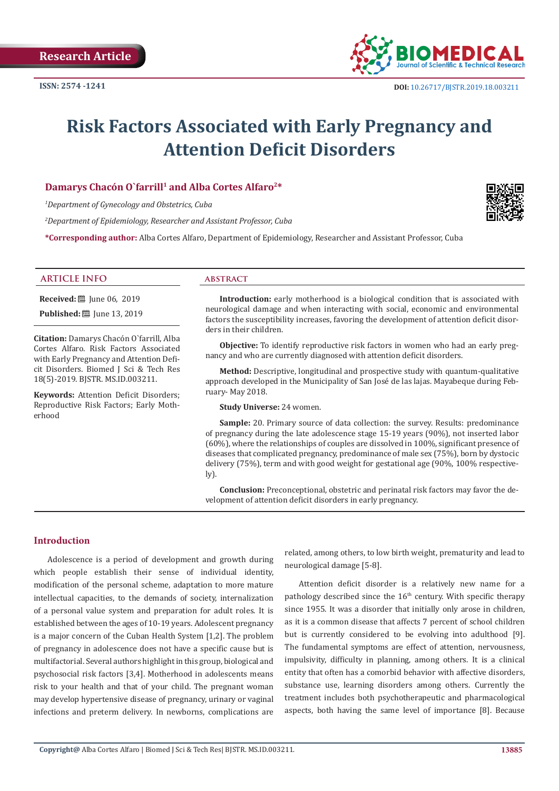

# **Risk Factors Associated with Early Pregnancy and Attention Deficit Disorders**

# **Damarys Chacón O`farrill<sup>1</sup> and Alba Cortes Alfaro<sup>2\*</sup>**

*1 Department of Gynecology and Obstetrics, Cuba*

*2 Department of Epidemiology, Researcher and Assistant Professor, Cuba*

**\*Corresponding author:** Alba Cortes Alfaro, Department of Epidemiology, Researcher and Assistant Professor, Cuba

#### **ARTICLE INFO abstract**

**Received:** ■ Iune 06, 2019

**Published:** ■ June 13, 2019

**Citation:** Damarys Chacón O`farrill, Alba Cortes Alfaro. Risk Factors Associated with Early Pregnancy and Attention Deficit Disorders. Biomed J Sci & Tech Res 18(5)-2019. BJSTR. MS.ID.003211.

**Keywords:** Attention Deficit Disorders; Reproductive Risk Factors; Early Motherhood

**Introduction:** early motherhood is a biological condition that is associated with neurological damage and when interacting with social, economic and environmental factors the susceptibility increases, favoring the development of attention deficit disorders in their children.

**Objective:** To identify reproductive risk factors in women who had an early pregnancy and who are currently diagnosed with attention deficit disorders.

**Method:** Descriptive, longitudinal and prospective study with quantum-qualitative approach developed in the Municipality of San José de las lajas. Mayabeque during February- May 2018.

**Study Universe:** 24 women.

**Sample:** 20. Primary source of data collection: the survey. Results: predominance of pregnancy during the late adolescence stage 15-19 years (90%), not inserted labor (60%), where the relationships of couples are dissolved in 100%, significant presence of diseases that complicated pregnancy, predominance of male sex (75%), born by dystocic delivery (75%), term and with good weight for gestational age (90%, 100% respectively).

**Conclusion:** Preconceptional, obstetric and perinatal risk factors may favor the development of attention deficit disorders in early pregnancy.

# **Introduction**

Adolescence is a period of development and growth during which people establish their sense of individual identity, modification of the personal scheme, adaptation to more mature intellectual capacities, to the demands of society, internalization of a personal value system and preparation for adult roles. It is established between the ages of 10-19 years. Adolescent pregnancy is a major concern of the Cuban Health System [1,2]. The problem of pregnancy in adolescence does not have a specific cause but is multifactorial. Several authors highlight in this group, biological and psychosocial risk factors [3,4]. Motherhood in adolescents means risk to your health and that of your child. The pregnant woman may develop hypertensive disease of pregnancy, urinary or vaginal infections and preterm delivery. In newborns, complications are

related, among others, to low birth weight, prematurity and lead to neurological damage [5-8].

Attention deficit disorder is a relatively new name for a pathology described since the  $16<sup>th</sup>$  century. With specific therapy since 1955. It was a disorder that initially only arose in children, as it is a common disease that affects 7 percent of school children but is currently considered to be evolving into adulthood [9]. The fundamental symptoms are effect of attention, nervousness, impulsivity, difficulty in planning, among others. It is a clinical entity that often has a comorbid behavior with affective disorders, substance use, learning disorders among others. Currently the treatment includes both psychotherapeutic and pharmacological aspects, both having the same level of importance [8]. Because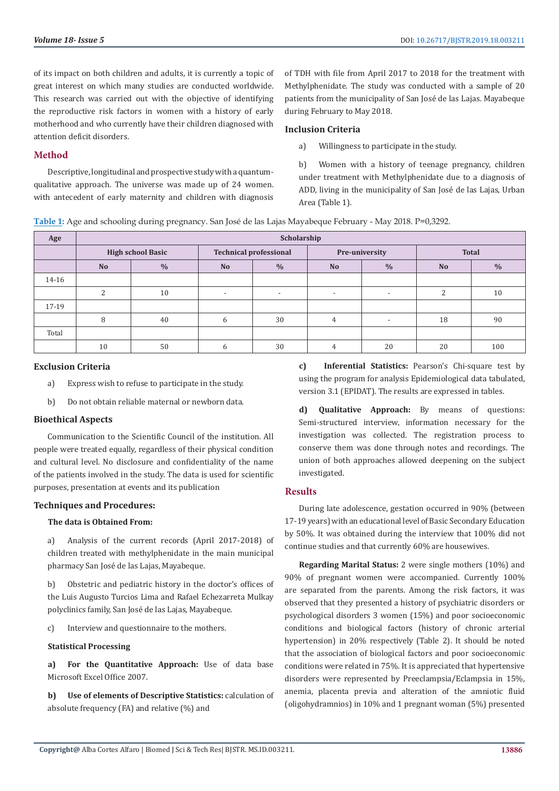of its impact on both children and adults, it is currently a topic of great interest on which many studies are conducted worldwide. This research was carried out with the objective of identifying the reproductive risk factors in women with a history of early motherhood and who currently have their children diagnosed with attention deficit disorders.

# **Method**

Descriptive, longitudinal and prospective study with a quantumqualitative approach. The universe was made up of 24 women. with antecedent of early maternity and children with diagnosis of TDH with file from April 2017 to 2018 for the treatment with Methylphenidate. The study was conducted with a sample of 20 patients from the municipality of San José de las Lajas. Mayabeque during February to May 2018.

# **Inclusion Criteria**

a) Willingness to participate in the study.

b) Women with a history of teenage pregnancy, children under treatment with Methylphenidate due to a diagnosis of ADD, living in the municipality of San José de las Lajas, Urban Area (Table 1).

**Table 1:** Age and schooling during pregnancy. San José de las Lajas Mayabeque February - May 2018. P=0,3292.

| Age   | Scholarship              |      |                                                 |                          |                          |                          |           |               |
|-------|--------------------------|------|-------------------------------------------------|--------------------------|--------------------------|--------------------------|-----------|---------------|
|       | <b>High school Basic</b> |      | <b>Technical professional</b><br>Pre-university |                          |                          | <b>Total</b>             |           |               |
|       | <b>No</b>                | $\%$ | <b>No</b>                                       | $\frac{0}{0}$            | <b>No</b>                | $\frac{0}{6}$            | <b>No</b> | $\frac{0}{0}$ |
| 14-16 |                          |      |                                                 |                          |                          |                          |           |               |
|       | 2                        | 10   | $\overline{\phantom{a}}$                        | $\overline{\phantom{a}}$ | $\overline{\phantom{0}}$ | $\overline{\phantom{a}}$ | $\Omega$  | 10            |
| 17-19 |                          |      |                                                 |                          |                          |                          |           |               |
|       | 8                        | 40   | 6                                               | 30                       | 4                        |                          | 18        | 90            |
| Total |                          |      |                                                 |                          |                          |                          |           |               |
|       | 10                       | 50   | 6                                               | 30                       | 4                        | 20                       | 20        | 100           |

# **Exclusion Criteria**

- a) Express wish to refuse to participate in the study.
- b) Do not obtain reliable maternal or newborn data.

# **Bioethical Aspects**

Communication to the Scientific Council of the institution. All people were treated equally, regardless of their physical condition and cultural level. No disclosure and confidentiality of the name of the patients involved in the study. The data is used for scientific purposes, presentation at events and its publication

#### **Techniques and Procedures:**

#### **The data is Obtained From:**

a) Analysis of the current records (April 2017-2018) of children treated with methylphenidate in the main municipal pharmacy San José de las Lajas, Mayabeque.

b) Obstetric and pediatric history in the doctor's offices of the Luis Augusto Turcios Lima and Rafael Echezarreta Mulkay polyclinics family, San José de las Lajas, Mayabeque.

c) Interview and questionnaire to the mothers.

#### **Statistical Processing**

**a) For the Quantitative Approach:** Use of data base Microsoft Excel Office 2007.

**b) Use of elements of Descriptive Statistics:** calculation of absolute frequency (FA) and relative (%) and

**c) Inferential Statistics:** Pearson's Chi-square test by using the program for analysis Epidemiological data tabulated, version 3.1 (EPIDAT). The results are expressed in tables.

**d) Qualitative Approach:** By means of questions: Semi-structured interview, information necessary for the investigation was collected. The registration process to conserve them was done through notes and recordings. The union of both approaches allowed deepening on the subject investigated.

# **Results**

During late adolescence, gestation occurred in 90% (between 17-19 years) with an educational level of Basic Secondary Education by 50%. It was obtained during the interview that 100% did not continue studies and that currently 60% are housewives.

**Regarding Marital Status:** 2 were single mothers (10%) and 90% of pregnant women were accompanied. Currently 100% are separated from the parents. Among the risk factors, it was observed that they presented a history of psychiatric disorders or psychological disorders 3 women (15%) and poor socioeconomic conditions and biological factors (history of chronic arterial hypertension) in 20% respectively (Table 2). It should be noted that the association of biological factors and poor socioeconomic conditions were related in 75%. It is appreciated that hypertensive disorders were represented by Preeclampsia/Eclampsia in 15%, anemia, placenta previa and alteration of the amniotic fluid (oligohydramnios) in 10% and 1 pregnant woman (5%) presented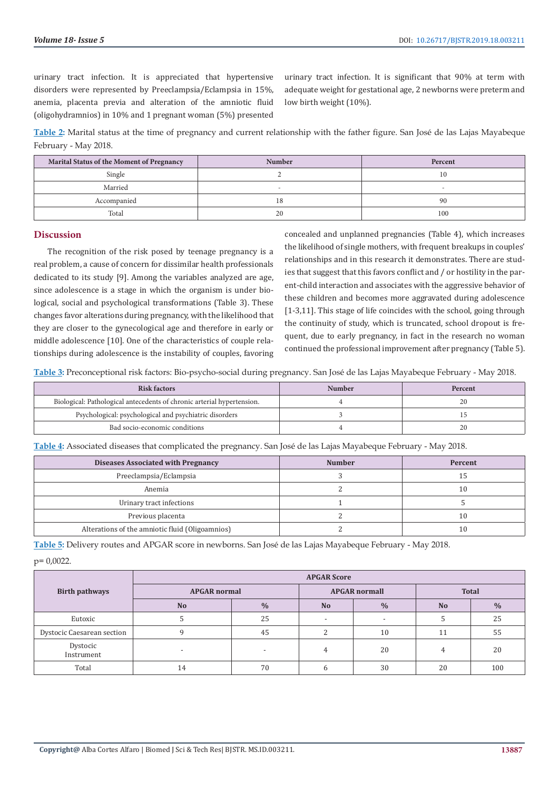urinary tract infection. It is appreciated that hypertensive disorders were represented by Preeclampsia/Eclampsia in 15%, anemia, placenta previa and alteration of the amniotic fluid (oligohydramnios) in 10% and 1 pregnant woman (5%) presented urinary tract infection. It is significant that 90% at term with adequate weight for gestational age, 2 newborns were preterm and low birth weight (10%).

**Table 2:** Marital status at the time of pregnancy and current relationship with the father figure. San José de las Lajas Mayabeque February - May 2018.

| Marital Status of the Moment of Pregnancy | <b>Number</b> | Percent |
|-------------------------------------------|---------------|---------|
| Single                                    |               | 10      |
| Married                                   |               |         |
| Accompanied                               | 10            | 90      |
| Total                                     | 20            | 100     |

### **Discussion**

The recognition of the risk posed by teenage pregnancy is a real problem, a cause of concern for dissimilar health professionals dedicated to its study [9]. Among the variables analyzed are age, since adolescence is a stage in which the organism is under biological, social and psychological transformations (Table 3). These changes favor alterations during pregnancy, with the likelihood that they are closer to the gynecological age and therefore in early or middle adolescence [10]. One of the characteristics of couple relationships during adolescence is the instability of couples, favoring

concealed and unplanned pregnancies (Table 4), which increases the likelihood of single mothers, with frequent breakups in couples' relationships and in this research it demonstrates. There are studies that suggest that this favors conflict and / or hostility in the parent-child interaction and associates with the aggressive behavior of these children and becomes more aggravated during adolescence [1-3,11]. This stage of life coincides with the school, going through the continuity of study, which is truncated, school dropout is frequent, due to early pregnancy, in fact in the research no woman continued the professional improvement after pregnancy (Table 5).

**Table 3:** Preconceptional risk factors: Bio-psycho-social during pregnancy. San José de las Lajas Mayabeque February - May 2018.

| <b>Risk factors</b>                                                    | <b>Number</b> | Percent |
|------------------------------------------------------------------------|---------------|---------|
| Biological: Pathological antecedents of chronic arterial hypertension. |               |         |
| Psychological: psychological and psychiatric disorders                 |               |         |
| Bad socio-economic conditions                                          |               | 20      |

**Table 4:** Associated diseases that complicated the pregnancy. San José de las Lajas Mayabeque February - May 2018.

| <b>Diseases Associated with Pregnancy</b>       | <b>Number</b> | Percent |
|-------------------------------------------------|---------------|---------|
| Preeclampsia/Eclampsia                          |               | 15      |
| Anemia                                          |               | 10      |
| Urinary tract infections                        |               |         |
| Previous placenta                               |               | 10      |
| Alterations of the amniotic fluid (Oligoamnios) |               | 10      |

**Table 5:** Delivery routes and APGAR score in newborns. San José de las Lajas Mayabeque February - May 2018. p= 0,0022.

|                            | <b>APGAR Score</b>       |                          |                          |                          |              |               |  |
|----------------------------|--------------------------|--------------------------|--------------------------|--------------------------|--------------|---------------|--|
| <b>Birth pathways</b>      | <b>APGAR</b> normal      |                          | <b>APGAR normall</b>     |                          | <b>Total</b> |               |  |
|                            | N <sub>o</sub>           | $\frac{0}{0}$            | <b>No</b>                | $\frac{0}{0}$            | <b>No</b>    | $\frac{0}{0}$ |  |
| Eutoxic                    |                          | 25                       | $\overline{\phantom{0}}$ | $\overline{\phantom{a}}$ |              | 25            |  |
| Dystocic Caesarean section |                          | 45                       |                          | 10                       | 11           | 55            |  |
| Dystocic<br>Instrument     | $\overline{\phantom{0}}$ | $\overline{\phantom{0}}$ | 4                        | 20                       | 4            | 20            |  |
| Total                      | 14                       | 70                       | b                        | 30                       | 20           | 100           |  |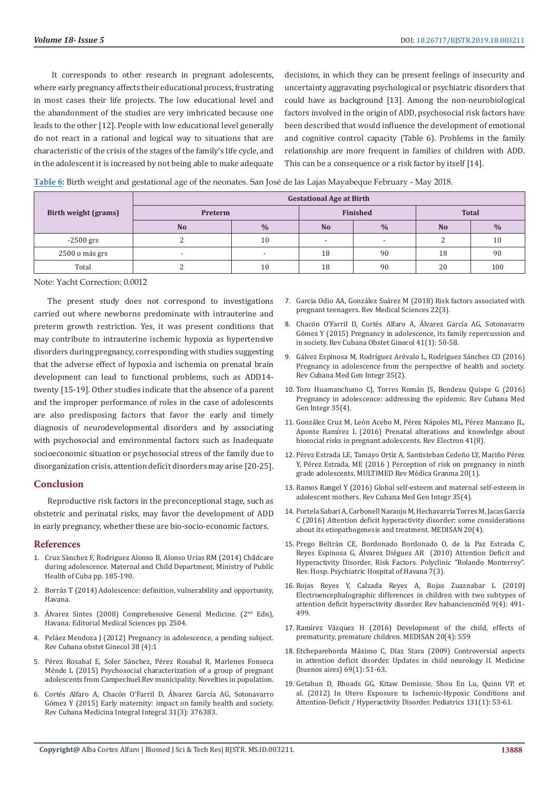It corresponds to other research in pregnant adolescents, where early pregnancy affects their educational process, frustrating in most cases their life projects. The low educational level and the abandonment of the studies are very imbricated because one leads to the other [12]. People with low educational level generally do not react in a rational and logical way to situations that are characteristic of the crisis of the stages of the family's life cycle, and in the adolescent it is increased by not being able to make adequate

decisions, in which they can be present feelings of insecurity and uncertainty aggravating psychological or psychiatric disorders that could have as background [13]. Among the non-neurobiological factors involved in the origin of ADD, psychosocial risk factors have been described that would influence the development of emotional and cognitive control capacity (Table 6). Problems in the family relationship are more frequent in families of children with ADD. This can be a consequence or a risk factor by itself [14].

**Table 6:** Birth weight and gestational age of the neonates. San José de las Lajas Mayabeque February - May 2018.

|                      | <b>Gestational Age at Birth</b> |               |                          |               |                |               |  |
|----------------------|---------------------------------|---------------|--------------------------|---------------|----------------|---------------|--|
| Birth weight (grams) | Preterm                         |               | <b>Finished</b>          |               | <b>Total</b>   |               |  |
|                      | <b>No</b>                       | $\frac{0}{0}$ | N <sub>0</sub>           | $\frac{0}{0}$ | N <sub>o</sub> | $\frac{0}{0}$ |  |
| $-2500$ grs          |                                 | 10            | $\overline{\phantom{a}}$ | -             |                | 10            |  |
| 2500 o más grs       | $\overline{\phantom{a}}$        | $\sim$        | 18                       | 90            | 18             | 90            |  |
| Total                |                                 | 10            | 18                       | 90            | 20             | 100           |  |

Note: Yacht Correction: 0.0012

The present study does not correspond to investigations carried out where newborns predominate with intrauterine and preterm growth restriction. Yes, it was present conditions that may contribute to intrauterine ischemic hypoxia as hypertensive disorders during pregnancy, corresponding with studies suggesting that the adverse effect of hypoxia and ischemia on prenatal brain development can lead to functional problems, such as ADD14 twenty [15-19]. Other studies indicate that the absence of a parent and the improper performance of roles in the case of adolescents are also predisposing factors that favor the early and timely diagnosis of neurodevelopmental disorders and by associating with psychosocial and environmental factors such as Inadequate socioeconomic situation or psychosocial stress of the family due to disorganization crisis, attention deficit disorders may arise [20-25].

#### **Conclusion**

Reproductive risk factors in the preconceptional stage, such as obstetric and perinatal risks, may favor the development of ADD in early pregnancy, whether these are bio-socio-economic factors.

#### **References**

- 1. Cruz Sànchez F, Rodriguez Alonso B, Alonso Urías RM (2014) Childcare during adolescence. Maternal and Child Department, Ministry of Public Health of Cuba pp. 185-190.
- 2. Borrás T (2014) Adolescence: definition, vulnerability and opportunity, Havana.
- 3. Álvarez Sintes (2008) Comprehensive General Medicine. (2nd Edn), Havana: Editorial Medical Sciences pp. 2504.
- 4. Peláez Mendoza J (2012) Pregnancy in adolescence, a pending subject. Rev Cubana obstet Ginecol 38 (4):1
- 5. Pérez Rosabal E, Soler Sánchez, Pérez Rosabal R, Marlenes Fonseca Ménde L (2015) Psychosocial characterization of a group of pregnant adolescents from Campechuel.Rev municipality. Novelties in population.
- 6. Cortés Alfaro A, Chacón O'Farril D, Álvarez García AG, Sotonavarro Gómez Y (2015) Early maternity: impact on family health and society. Rev Cubana Medicina Integral Integral 31(3): 376383.
- 7. Garcia Odio AA, González Suárez M (2018) Risk factors associated with pregnant teenagers. Rev Medical Sciences 22(3).
- 8. Chacón O'Farril D, Cortés Alfaro A, Álvarez García AG, Sotonavarro Gómez Y (2015) Pregnancy in adolescence, its family repercussion and in society. Rev Cubana Obstet Ginecol 41(1): 50-58.
- 9. Gálvez Espinosa M, Rodríguez Arévalo L, Rodríguez Sánchez CO (2016) Pregnancy in adolescence from the perspective of health and society. Rev Cubana Med Gen Integr 35(2).
- 10. Toro Huamanchumo CJ, Torres Román JS, Bendezu Quispe G (2016) Pregnancy in adolescence: addressing the epidemic. Rev Cubana Med Gen Integr 35(4).
- 11. González Cruz M, León Acebo M, Pérez Nápoles ML, Pérez Manzano JL, Aponte Ramírez L (2016) Prenatal alterations and knowledge about biosocial risks in pregnant adolescents. Rev Electron 41(8).
- 12. Pérez Estrada LE, Tamayo Ortiz A, Santisteban Cedeño LY, Mariño Pérez Y, Pérez Estrada, ME (2016 ) Perception of risk on pregnancy in ninth grade adolescents. MULTIMED Rev Médica Granma 20(1).
- 13. Ramos Rangel Y (2016) Global self-esteem and maternal self-esteem in adolescent mothers. Rev Cubana Med Gen Integr 35(4).
- 14. Portela Sabari A, Carbonell Naranjo M, Hechavarría Torres M, Jacas García C (2016) Attention deficit hyperactivity disorder: some considerations about its etiopathogenesis and treatment. MEDISAN 20(4).
- 15. Prego Beltrán CE, Bordonado Bordonado O, de la Paz Estrada C, Reyes Espinosa G, Álvarez Diéguez AR (2010) Attention Deficit and Hyperactivity Disorder, Risk Factors. Polyclinic "Rolando Monterrey". Rev. Hosp. Psychiatric Hospital of Havana 7(3).
- 16. Rojas Reyes Y, Calzada Reyes A, Rojas Zuaznabar L (2010) Electroencephalographic differences in children with two subtypes of attention deficit hyperactivity disorder. Rev habanciencméd 9(4): 491- 499.
- 17. Ramírez Vázquez H (2016) Development of the child, effects of prematurity, premature children. MEDISAN 20(4): 559
- 18. Etchepareborda Máximo C, Díaz Stara (2009) Controversial aspects in attention deficit disorder. Updates in child neurology II. Medicine (buenos aires) 69(1): 51-63.
- 19. [Getahun D, Rhoads GG, Kitaw Demissie, Shou En Lu, Quinn VP, et](https://www.ncbi.nlm.nih.gov/pubmed/23230063) [al. \(2012\) In Utero Exposure to Ischemic-Hypoxic Conditions and](https://www.ncbi.nlm.nih.gov/pubmed/23230063) [Attention-Deficit / Hyperactivity Disorder. Pediatrics 131\(1\): 53-61.](https://www.ncbi.nlm.nih.gov/pubmed/23230063)